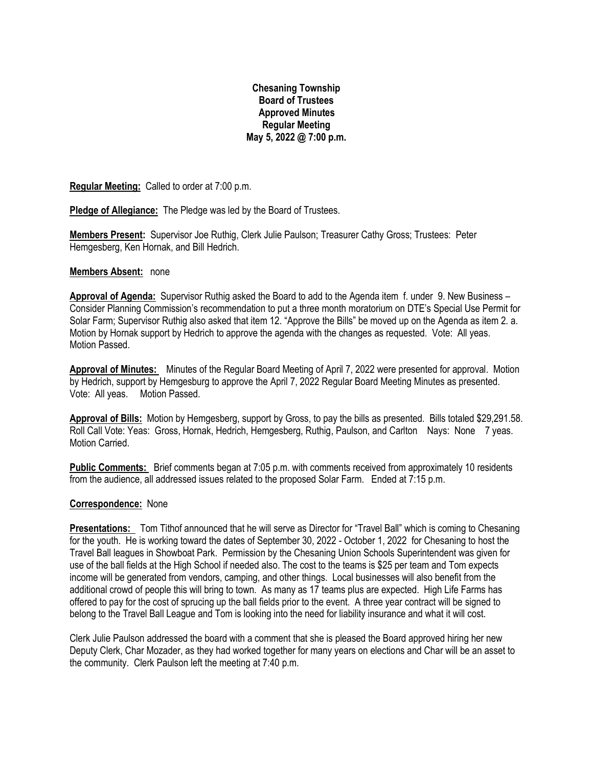# **Chesaning Township Board of Trustees Approved Minutes Regular Meeting May 5, 2022 @ 7:00 p.m.**

**Regular Meeting:** Called to order at 7:00 p.m.

**Pledge of Allegiance:** The Pledge was led by the Board of Trustees.

**Members Present:** Supervisor Joe Ruthig, Clerk Julie Paulson; Treasurer Cathy Gross; Trustees: Peter Hemgesberg, Ken Hornak, and Bill Hedrich.

#### **Members Absent:** none

**Approval of Agenda:** Supervisor Ruthig asked the Board to add to the Agenda item f. under 9. New Business – Consider Planning Commission's recommendation to put a three month moratorium on DTE's Special Use Permit for Solar Farm; Supervisor Ruthig also asked that item 12. "Approve the Bills" be moved up on the Agenda as item 2. a. Motion by Hornak support by Hedrich to approve the agenda with the changes as requested. Vote: All yeas. Motion Passed.

**Approval of Minutes:** Minutes of the Regular Board Meeting of April 7, 2022 were presented for approval. Motion by Hedrich, support by Hemgesburg to approve the April 7, 2022 Regular Board Meeting Minutes as presented. Vote: All yeas. Motion Passed.

**Approval of Bills:** Motion by Hemgesberg, support by Gross, to pay the bills as presented. Bills totaled \$29,291.58. Roll Call Vote: Yeas: Gross, Hornak, Hedrich, Hemgesberg, Ruthig, Paulson, and Carlton Nays: None 7 yeas. Motion Carried.

**Public Comments:** Brief comments began at 7:05 p.m. with comments received from approximately 10 residents from the audience, all addressed issues related to the proposed Solar Farm. Ended at 7:15 p.m.

#### **Correspondence:** None

**Presentations:** Tom Tithof announced that he will serve as Director for "Travel Ball" which is coming to Chesaning for the youth. He is working toward the dates of September 30, 2022 - October 1, 2022 for Chesaning to host the Travel Ball leagues in Showboat Park. Permission by the Chesaning Union Schools Superintendent was given for use of the ball fields at the High School if needed also. The cost to the teams is \$25 per team and Tom expects income will be generated from vendors, camping, and other things. Local businesses will also benefit from the additional crowd of people this will bring to town. As many as 17 teams plus are expected. High Life Farms has offered to pay for the cost of sprucing up the ball fields prior to the event. A three year contract will be signed to belong to the Travel Ball League and Tom is looking into the need for liability insurance and what it will cost.

Clerk Julie Paulson addressed the board with a comment that she is pleased the Board approved hiring her new Deputy Clerk, Char Mozader, as they had worked together for many years on elections and Char will be an asset to the community. Clerk Paulson left the meeting at 7:40 p.m.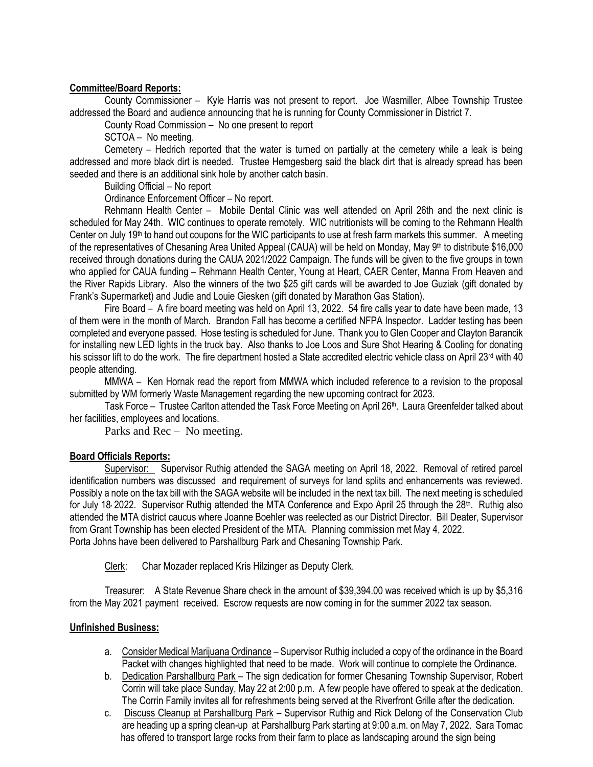# **Committee/Board Reports:**

County Commissioner – Kyle Harris was not present to report. Joe Wasmiller, Albee Township Trustee addressed the Board and audience announcing that he is running for County Commissioner in District 7.

County Road Commission – No one present to report

SCTOA – No meeting.

Cemetery – Hedrich reported that the water is turned on partially at the cemetery while a leak is being addressed and more black dirt is needed. Trustee Hemgesberg said the black dirt that is already spread has been seeded and there is an additional sink hole by another catch basin.

Building Official – No report

Ordinance Enforcement Officer – No report.

Rehmann Health Center – Mobile Dental Clinic was well attended on April 26th and the next clinic is scheduled for May 24th. WIC continues to operate remotely. WIC nutritionists will be coming to the Rehmann Health Center on July 19<sup>th</sup> to hand out coupons for the WIC participants to use at fresh farm markets this summer. A meeting of the representatives of Chesaning Area United Appeal (CAUA) will be held on Monday, May 9th to distribute \$16,000 received through donations during the CAUA 2021/2022 Campaign. The funds will be given to the five groups in town who applied for CAUA funding - Rehmann Health Center, Young at Heart, CAER Center, Manna From Heaven and the River Rapids Library. Also the winners of the two \$25 gift cards will be awarded to Joe Guziak (gift donated by Frank's Supermarket) and Judie and Louie Giesken (gift donated by Marathon Gas Station).

Fire Board – A fire board meeting was held on April 13, 2022. 54 fire calls year to date have been made, 13 of them were in the month of March. Brandon Fall has become a certified NFPA Inspector. Ladder testing has been completed and everyone passed. Hose testing is scheduled for June. Thank you to Glen Cooper and Clayton Barancik for installing new LED lights in the truck bay. Also thanks to Joe Loos and Sure Shot Hearing & Cooling for donating his scissor lift to do the work. The fire department hosted a State accredited electric vehicle class on April 23<sup>rd</sup> with 40 people attending.

MMWA – Ken Hornak read the report from MMWA which included reference to a revision to the proposal submitted by WM formerly Waste Management regarding the new upcoming contract for 2023.

Task Force – Trustee Carlton attended the Task Force Meeting on April 26th. Laura Greenfelder talked about her facilities, employees and locations.

Parks and Rec – No meeting.

## **Board Officials Reports:**

Supervisor: Supervisor Ruthig attended the SAGA meeting on April 18, 2022. Removal of retired parcel identification numbers was discussed and requirement of surveys for land splits and enhancements was reviewed. Possibly a note on the tax bill with the SAGA website will be included in the next tax bill. The next meeting is scheduled for July 18 2022. Supervisor Ruthig attended the MTA Conference and Expo April 25 through the 28<sup>th</sup>. Ruthig also attended the MTA district caucus where Joanne Boehler was reelected as our District Director. Bill Deater, Supervisor from Grant Township has been elected President of the MTA. Planning commission met May 4, 2022. Porta Johns have been delivered to Parshallburg Park and Chesaning Township Park.

Clerk: Char Mozader replaced Kris Hilzinger as Deputy Clerk.

Treasurer: A State Revenue Share check in the amount of \$39,394.00 was received which is up by \$5,316 from the May 2021 payment received. Escrow requests are now coming in for the summer 2022 tax season.

## **Unfinished Business:**

- a. Consider Medical Marijuana Ordinance Supervisor Ruthig included a copy of the ordinance in the Board Packet with changes highlighted that need to be made. Work will continue to complete the Ordinance.
- b. Dedication Parshallburg Park The sign dedication for former Chesaning Township Supervisor, Robert Corrin will take place Sunday, May 22 at 2:00 p.m. A few people have offered to speak at the dedication. The Corrin Family invites all for refreshments being served at the Riverfront Grille after the dedication.
- c. Discuss Cleanup at Parshallburg Park Supervisor Ruthig and Rick Delong of the Conservation Club are heading up a spring clean-up at Parshallburg Park starting at 9:00 a.m. on May 7, 2022. Sara Tomac has offered to transport large rocks from their farm to place as landscaping around the sign being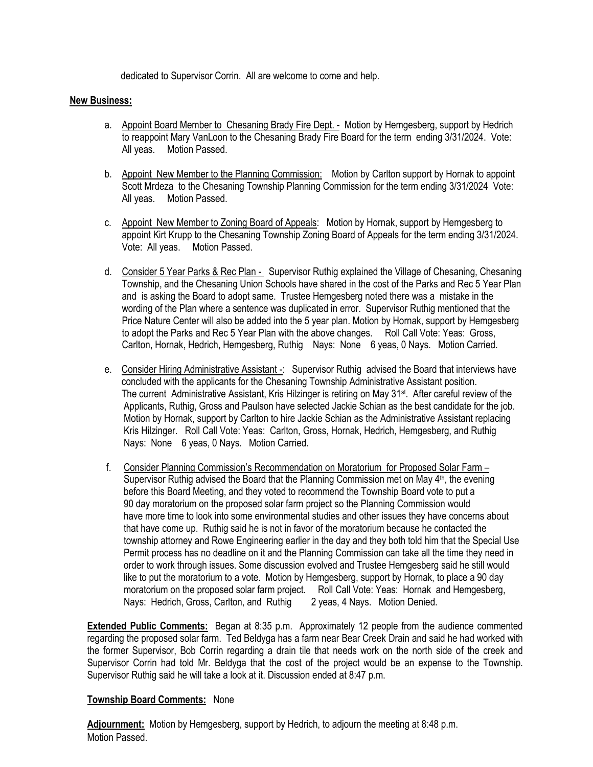dedicated to Supervisor Corrin. All are welcome to come and help.

#### **New Business:**

- a. Appoint Board Member to Chesaning Brady Fire Dept. Motion by Hemgesberg, support by Hedrich to reappoint Mary VanLoon to the Chesaning Brady Fire Board for the term ending 3/31/2024. Vote: All yeas. Motion Passed.
- b. Appoint New Member to the Planning Commission: Motion by Carlton support by Hornak to appoint Scott Mrdeza to the Chesaning Township Planning Commission for the term ending 3/31/2024 Vote: All yeas. Motion Passed.
- c. Appoint New Member to Zoning Board of Appeals: Motion by Hornak, support by Hemgesberg to appoint Kirt Krupp to the Chesaning Township Zoning Board of Appeals for the term ending 3/31/2024. Vote: All yeas. Motion Passed.
- d. Consider 5 Year Parks & Rec Plan Supervisor Ruthig explained the Village of Chesaning, Chesaning Township, and the Chesaning Union Schools have shared in the cost of the Parks and Rec 5 Year Plan and is asking the Board to adopt same. Trustee Hemgesberg noted there was a mistake in the wording of the Plan where a sentence was duplicated in error. Supervisor Ruthig mentioned that the Price Nature Center will also be added into the 5 year plan. Motion by Hornak, support by Hemgesberg to adopt the Parks and Rec 5 Year Plan with the above changes. Roll Call Vote: Yeas: Gross, Carlton, Hornak, Hedrich, Hemgesberg, Ruthig Nays: None 6 yeas, 0 Nays. Motion Carried.
- e. Consider Hiring Administrative Assistant -: Supervisor Ruthig advised the Board that interviews have concluded with the applicants for the Chesaning Township Administrative Assistant position. The current Administrative Assistant, Kris Hilzinger is retiring on May 31<sup>st</sup>. After careful review of the Applicants, Ruthig, Gross and Paulson have selected Jackie Schian as the best candidate for the job. Motion by Hornak, support by Carlton to hire Jackie Schian as the Administrative Assistant replacing Kris Hilzinger. Roll Call Vote: Yeas: Carlton, Gross, Hornak, Hedrich, Hemgesberg, and Ruthig Nays: None 6 yeas, 0 Nays. Motion Carried.
- f. Consider Planning Commission's Recommendation on Moratorium for Proposed Solar Farm Supervisor Ruthig advised the Board that the Planning Commission met on May  $4<sup>th</sup>$ , the evening before this Board Meeting, and they voted to recommend the Township Board vote to put a 90 day moratorium on the proposed solar farm project so the Planning Commission would have more time to look into some environmental studies and other issues they have concerns about that have come up. Ruthig said he is not in favor of the moratorium because he contacted the township attorney and Rowe Engineering earlier in the day and they both told him that the Special Use Permit process has no deadline on it and the Planning Commission can take all the time they need in order to work through issues. Some discussion evolved and Trustee Hemgesberg said he still would like to put the moratorium to a vote. Motion by Hemgesberg, support by Hornak, to place a 90 day moratorium on the proposed solar farm project. Roll Call Vote: Yeas: Hornak and Hemgesberg, Nays: Hedrich, Gross, Carlton, and Ruthig 2 yeas, 4 Nays. Motion Denied.

**Extended Public Comments:** Began at 8:35 p.m. Approximately 12 people from the audience commented regarding the proposed solar farm. Ted Beldyga has a farm near Bear Creek Drain and said he had worked with the former Supervisor, Bob Corrin regarding a drain tile that needs work on the north side of the creek and Supervisor Corrin had told Mr. Beldyga that the cost of the project would be an expense to the Township. Supervisor Ruthig said he will take a look at it. Discussion ended at 8:47 p.m.

## **Township Board Comments:** None

**Adjournment:** Motion by Hemgesberg, support by Hedrich, to adjourn the meeting at 8:48 p.m. Motion Passed.